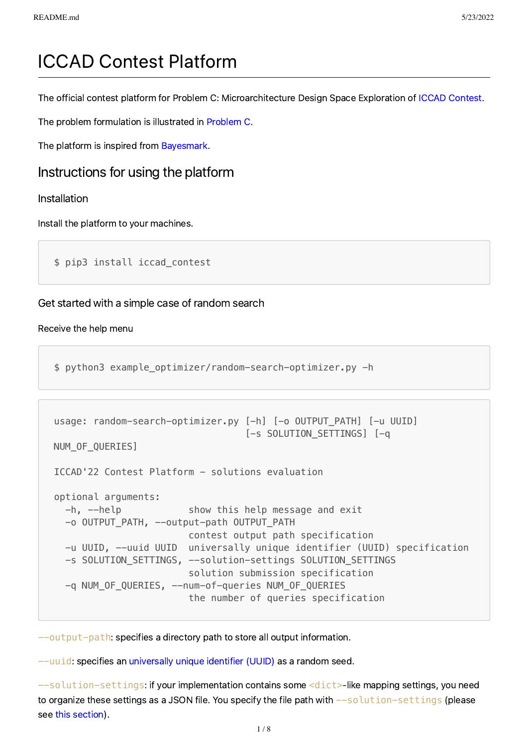# ICCAD Contest Platform

The official contest platform for Problem C: Microarchitecture Design Space Exploration of ICCAD [Contest](http://iccad-contest.org/).

The problem formulation is illustrated in [Problem](http://iccad-contest.org/Problems/CADContest_2022_Problem_C_20220218.pdf) C.

The platform is inspired from [Bayesmark](https://github.com/uber/bayesmark).

## Instructions for using the platform

## Installation

Install the platform to your machines.

\$ pip3 install iccad\_contest

## Get started with a simple case of random search

### Receive the help menu

\$ python3 example\_optimizer/random-search-optimizer.py -h

```
usage: random-search-optimizer.py [-h] [-o OUTPUT_PATH] [-u UUID]
                                 [-s SOLUTION SETTINGS] [-q
NUM OF QUERIES]
ICCAD'22 Contest Platform - solutions evaluation
optional arguments:
  -h, --help show this help message and exit
  -o OUTPUT_PATH, --output-path OUTPUT_PATH
                        contest output path specification
   -u UUID, --uuid UUID universally unique identifier (UUID) specification
  -s SOLUTION SETTINGS, --solution-settings SOLUTION SETTINGS
                         solution submission specification
   -q NUM_OF_QUERIES, --num-of-queries NUM_OF_QUERIES
                         the number of queries specification
```
--output-path: specifies a directory path to store all output information.

--uuid: specifies an [universally](https://en.wikipedia.org/wiki/Universally_unique_identifier) unique identifier (UUID) as a random seed.

 $--$ solution-settings: if your implementation contains some  $<$ dict>-like mapping settings, you need to organize these settings as a JSON file. You specify the file path with  $-$ solution-settings (please see this [section](#page-2-0)).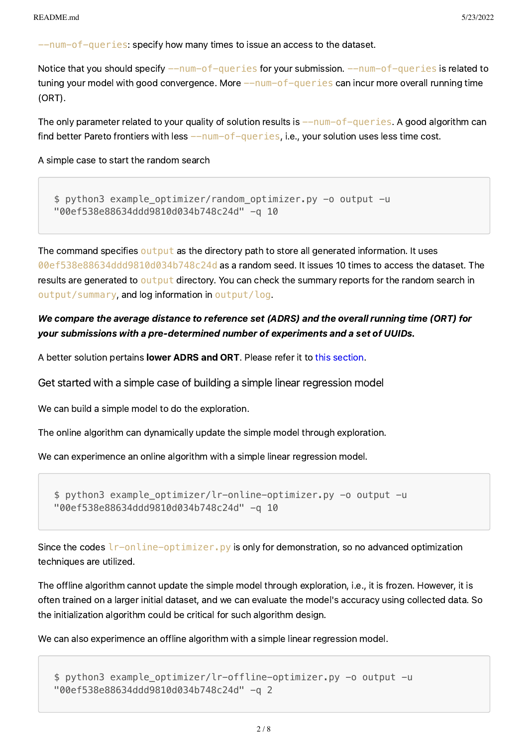$-$ num-of-queries: specify how many times to issue an access to the dataset.

Notice that you should specify  $-$ -num-of-queries for your submission.  $-$ -num-of-queries is related to tuning your model with good convergence. More  $-\text{num-of-queries}$  can incur more overall running time (ORT).

The only parameter related to your quality of solution results is  $-\text{num-of-queries}$ . A good algorithm can find better Pareto frontiers with less  $-\text{num-of-queries}$ , i.e., your solution uses less time cost.

A simple case to start the random search

\$ python3 example\_optimizer/random\_optimizer.py -o output -u "00ef538e88634ddd9810d034b748c24d" -q 10

The command specifies output as the directory path to store all generated information. It uses 00ef538e88634ddd9810d034b748c24d as a random seed. It issues 10 times to access the dataset. The results are generated to output directory. You can check the summary reports for the random search in output/summary, and log information in output/log.

## We compare the average distance to reference set (ADRS) and the overall running time (ORT) for your submissions with a pre-determined number of experiments and a set of UUIDs.

A better solution pertains lower ADRS and ORT. Please refer it to this [section](#page-6-0).

Get started with a simple case of building a simple linear regression model

We can build a simple model to do the exploration.

The online algorithm can dynamically update the simple model through exploration.

We can experimence an online algorithm with a simple linear regression model.

\$ python3 example\_optimizer/lr-online-optimizer.py -o output -u "00ef538e88634ddd9810d034b748c24d" -q 10

Since the codes  $l$ r-online-optimizer. py is only for demonstration, so no advanced optimization techniques are utilized.

The offline algorithm cannot update the simple model through exploration, i.e., it is frozen. However, it is often trained on a larger initial dataset, and we can evaluate the model's accuracy using collected data. So the initialization algorithm could be critical for such algorithm design.

We can also experimence an offline algorithm with a simple linear regression model.

```
$ python3 example optimizer/lr-offline-optimizer.py -o output -u
"00ef538e88634ddd9810d034b748c24d" -q 2
```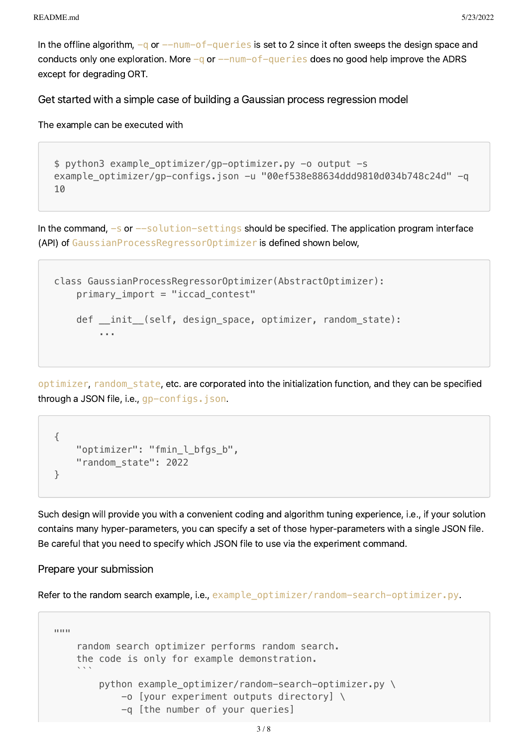In the offline algorithm,  $-q$  or  $-\text{num}-\text{of}-\text{query}$  is set to 2 since it often sweeps the design space and conducts only one exploration. More  $-q$  or  $---num-of-query$  does no good help improve the ADRS except for degrading ORT.

<span id="page-2-0"></span>Get started with a simple case of building a Gaussian process regression model

The example can be executed with

```
$ python3 example_optimizer/gp-optimizer.py -o output -s
example_optimizer/gp-configs.json -u "00ef538e88634ddd9810d034b748c24d" -q
10
```
In the command,  $-$ s or  $-$ solution-settings should be specified. The application program interface (API) of GaussianProcessRegressorOptimizer is defined shown below,

```
class GaussianProcessRegressorOptimizer(AbstractOptimizer):
    primary_import = "iccad_contest"
   def __init_(self, design_space, optimizer, random_state):
         ...
```
optimizer, random\_state, etc. are corporated into the initialization function, and they can be specified through a JSON file, i.e., gp-configs.json.

```
{
    "optimizer": "fmin l bfgs b",
    "random_state": 2022
}
```
Such design will provide you with a convenient coding and algorithm tuning experience, i.e., if your solution contains many hyper-parameters, you can specify a set of those hyper-parameters with a single JSON file. Be careful that you need to specify which JSON file to use via the experiment command.

Prepare your submission

Refer to the random search example, i.e., example\_optimizer/random-search-optimizer.py.

```
"""" "
     random search optimizer performs random search.
     the code is only for example demonstration.
\mathcal{L}^{\mathcal{L}} python example_optimizer/random-search-optimizer.py \
              -o [your experiment outputs directory] \
              -q [the number of your queries]
```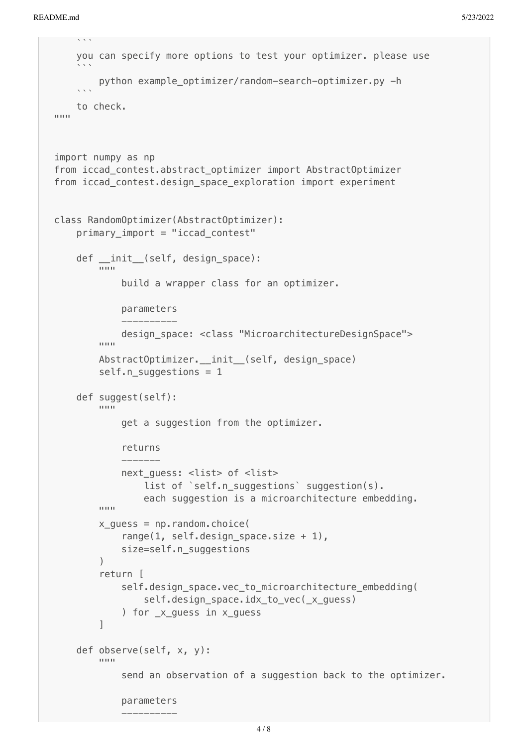```
\mathcal{L}^{\mathcal{L}} you can specify more options to test your optimizer. please use
\mathcal{L}^{\mathcal{L}} python example_optimizer/random-search-optimizer.py -h
\mathcal{L}^{\mathcal{L}} to check.
"""
import numpy as np
from iccad_contest.abstract_optimizer import AbstractOptimizer
from iccad contest.design space exploration import experiment
class RandomOptimizer(AbstractOptimizer):
     primary_import = "iccad_contest"
     def __init__(self, design_space):
 """
             build a wrapper class for an optimizer.
             parameters
 ----------
         design_space: <class "MicroarchitectureDesignSpace">
 """
         AbstractOptimizer.__init__(self, design_space)
         self.n_suggestions = 1
     def suggest(self):
 """
             get a suggestion from the optimizer.
             returns
             -------
            next quess: <list> of <list>
                list of `self.n suggestions` suggestion(s).
        each suggestion is a microarchitecture embedding.
 """
        x quess = np.random.choice(
             range(1, self.design_space.size + 1),
             size=self.n_suggestions
\overline{\phantom{a}} return [
            self.design_space.vec_to_microarchitecture_embedding(
                self.design space.idx to vec( x quess)
            ) for x quess in x quess
         ]
     def observe(self, x, y):
 """
             send an observation of a suggestion back to the optimizer.
             parameters
 ----------
```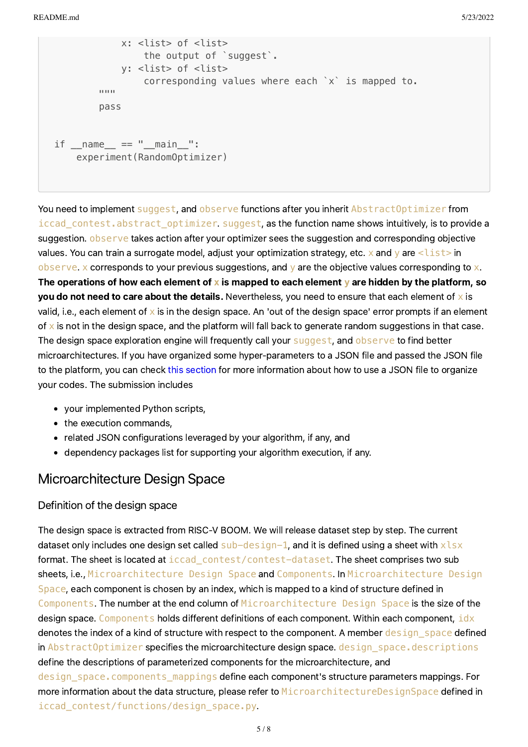```
 x: <list> of <list>
                the output of `suggest`.
            y: <list> of <list>
                corresponding values where each `x` is mapped to.
 """
        pass
if name == "main ":
    experiment(RandomOptimizer)
```
You need to implement suggest, and observe functions after you inherit AbstractOptimizer from iccad\_contest.abstract\_optimizer. suggest, as the function name shows intuitively, is to provide a suggestion. **observe** takes action after your optimizer sees the suggestion and corresponding objective values. You can train a surrogate model, adjust your optimization strategy, etc. x and y are  $\langle$ list> in observe. x corresponds to your previous suggestions, and  $y$  are the objective values corresponding to x. The operations of how each element of **x** is mapped to each element **y** are hidden by the platform, so you do not need to care about the details. Nevertheless, you need to ensure that each element of  $\times$  is valid, i.e., each element of  $\times$  is in the design space. An 'out of the design space' error prompts if an element of  $\times$  is not in the design space, and the platform will fall back to generate random suggestions in that case. The design space exploration engine will frequently call your suggest, and observe to find better microarchitectures. If you have organized some hyper-parameters to a JSON file and passed the JSON file to the platform, you can check this [section](#page-2-0) for more information about how to use a JSON file to organize your codes. The submission includes

- your implemented Python scripts,
- the execution commands,
- related JSON configurations leveraged by your algorithm, if any, and
- dependency packages list for supporting your algorithm execution, if any.

## Microarchitecture Design Space

#### Definition of the design space

The design space is extracted from RISC-V BOOM. We will release dataset step by step. The current dataset only includes one design set called  $sub-design-1$ , and it is defined using a sheet with  $x \& s$ format. The sheet is located at iccad contest/contest-dataset. The sheet comprises two sub sheets, i.e., Microarchitecture Design Space and Components. In Microarchitecture Design Space, each component is chosen by an index, which is mapped to a kind of structure defined in Components. The number at the end column of Microarchitecture Design Space is the size of the design space. Components holds different definitions of each component. Within each component, idx denotes the index of a kind of structure with respect to the component. A member design space defined in AbstractOptimizer specifies the microarchitecture design space. design space.descriptions define the descriptions of parameterized components for the microarchitecture, and design space.components mappings define each component's structure parameters mappings. For more information about the data structure, please refer to MicroarchitectureDesignSpace defined in iccad\_contest/functions/design\_space.py.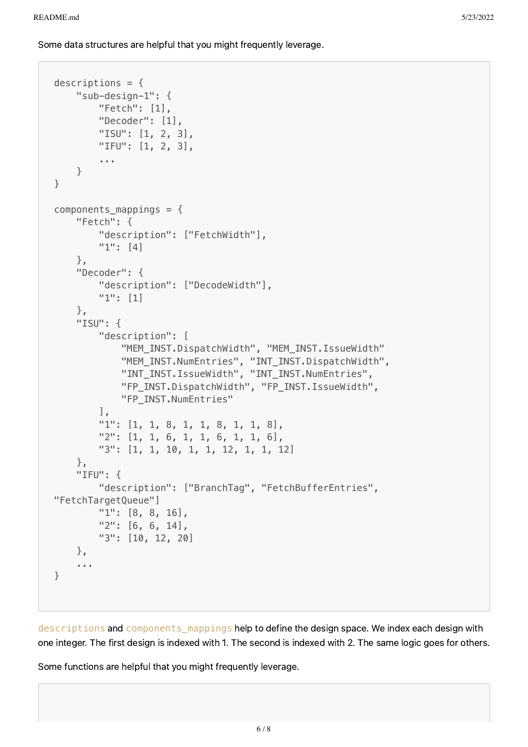Some data structures are helpful that you might frequently leverage.

```
descriptions = {
    "sub-design-1": {
        "Fetch": [1],
        "Decoder": [1],
        "ISU": [1, 2, 3],
        "IFU": [1, 2, 3],
        ...
    }
}
components_mappings = {
    "Fetch": {
        "description": ["FetchWidth"],
        "1": [4]
    },
    "Decoder": {
        "description": ["DecodeWidth"],
        "1": [1]
    },
    "ISU": {
        "description": [
            "MEM_INST.DispatchWidth", "MEM_INST.IssueWidth"
            "MEM_INST.NumEntries", "INT_INST.DispatchWidth",
            "INT_INST.IssueWidth", "INT_INST.NumEntries",
            "FP_INST.DispatchWidth", "FP_INST.IssueWidth",
            "FP_INST.NumEntries"
        \vert,
        "1": [1, 1, 8, 1, 1, 8, 1, 1, 8],
        "2": [1, 1, 6, 1, 1, 6, 1, 1, 6],
        "3": [1, 1, 10, 1, 1, 12, 1, 1, 12]
    },
    "IFU": {
        "description": ["BranchTag", "FetchBufferEntries",
"FetchTargetQueue"]
        "1": [8, 8, 16],
        "2": [6, 6, 14],
        "3": [10, 12, 20]
    },
    ...
}
```
descriptions and components\_mappings help to define the design space. We index each design with one integer. The first design is indexed with 1. The second is indexed with 2. The same logic goes for others.

Some functions are helpful that you might frequently leverage.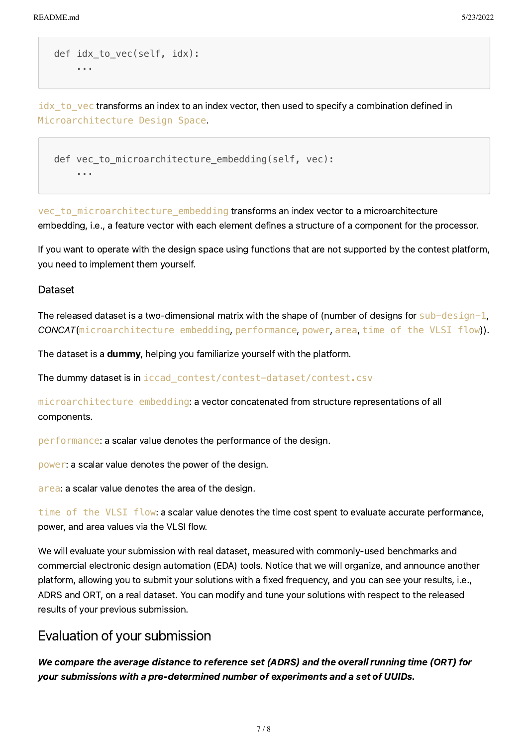```
def idx_to_vec(self, idx):
    ...
```
 $i$ d $x$  to vec transforms an index to an index vector, then used to specify a combination defined in Microarchitecture Design Space.

```
def vec_to_microarchitecture_embedding(self, vec):
    ...
```
vec to microarchitecture embedding transforms an index vector to a microarchitecture embedding, i.e., a feature vector with each element defines a structure of a component for the processor.

If you want to operate with the design space using functions that are not supported by the contest platform, you need to implement them yourself.

### <span id="page-6-1"></span>Dataset

The released dataset is a two-dimensional matrix with the shape of (number of designs for sub-design-1, CONCAT(microarchitecture embedding, performance, power, area, time of the VLSI flow)).

The dataset is a dummy, helping you familiarize yourself with the platform.

The dummy dataset is in iccad\_contest/contest-dataset/contest.csv

microarchitecture embedding: a vector concatenated from structure representations of all components.

performance: a scalar value denotes the performance of the design.

power: a scalar value denotes the power of the design.

area: a scalar value denotes the area of the design.

time of the VLSI flow: a scalar value denotes the time cost spent to evaluate accurate performance, power, and area values via the VLSI flow.

We will evaluate your submission with real dataset, measured with commonly-used benchmarks and commercial electronic design automation (EDA) tools. Notice that we will organize, and announce another platform, allowing you to submit your solutions with a fixed frequency, and you can see your results, i.e., ADRS and ORT, on a real dataset. You can modify and tune your solutions with respect to the released results of your previous submission.

## <span id="page-6-0"></span>Evaluation of your submission

We compare the average distance to reference set (ADRS) and the overall running time (ORT) for your submissions with a pre-determined number of experiments and a set of UUIDs.